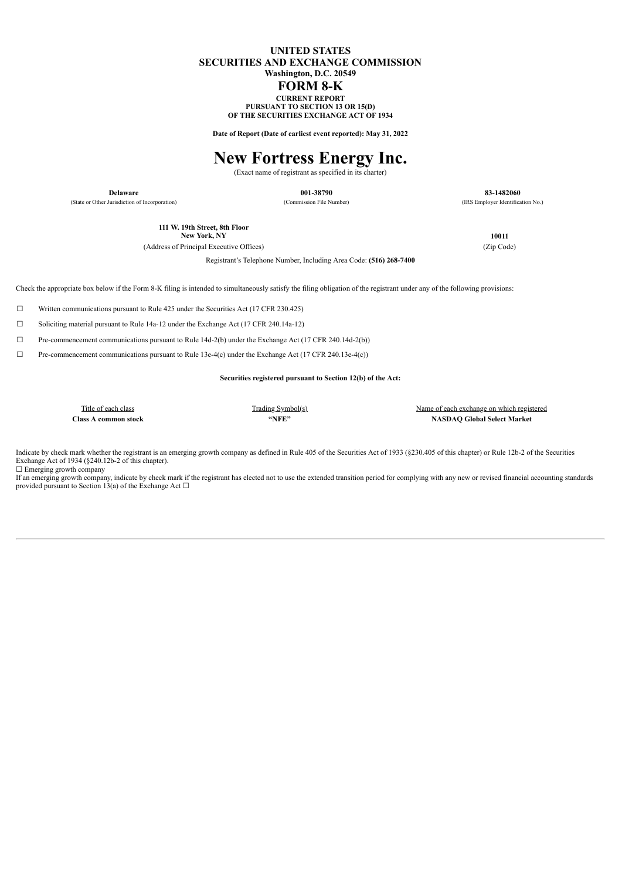### **UNITED STATES SECURITIES AND EXCHANGE COMMISSION Washington, D.C. 20549 FORM 8-K CURRENT REPORT**

**PURSUANT TO SECTION 13 OR 15(D) OF THE SECURITIES EXCHANGE ACT OF 1934**

**Date of Report (Date of earliest event reported): May 31, 2022**

# **New Fortress Energy Inc.**

(Exact name of registrant as specified in its charter)

Registrant's Telephone Number, Including Area Code: **(516) 268-7400**

**Delaware 001-38790 83-1482060** (State or Other Jurisdiction of Incorporation) (Commission File Number) (IRS Employer Identification No.)

**111 W. 19th Street, 8th Floor**

(Address of Principal Executive Offices) (Zip Code)

**New York, NY 10011**

Check the appropriate box below if the Form 8-K filing is intended to simultaneously satisfy the filing obligation of the registrant under any of the following provisions:

☐ Written communications pursuant to Rule 425 under the Securities Act (17 CFR 230.425)

☐ Soliciting material pursuant to Rule 14a-12 under the Exchange Act (17 CFR 240.14a-12)

 $\Box$  Pre-commencement communications pursuant to Rule 14d-2(b) under the Exchange Act (17 CFR 240.14d-2(b))

☐ Pre-commencement communications pursuant to Rule 13e-4(c) under the Exchange Act (17 CFR 240.13e-4(c))

**Securities registered pursuant to Section 12(b) of the Act:**

Title of each class Trading Symbol(s) Trading Symbol(s) Name of each exchange on which registered **Class A common stock "NFE" NASDAQ Global Select Market**

Indicate by check mark whether the registrant is an emerging growth company as defined in Rule 405 of the Securities Act of 1933 (§230.405 of this chapter) or Rule 12b-2 of the Securities Exchange Act of 1934 (§240.12b-2 of this chapter). □ Emerging growth company

If an emerging growth company, indicate by check mark if the registrant has elected not to use the extended transition period for complying with any new or revised financial accounting standards<br>provided pursuant to Secti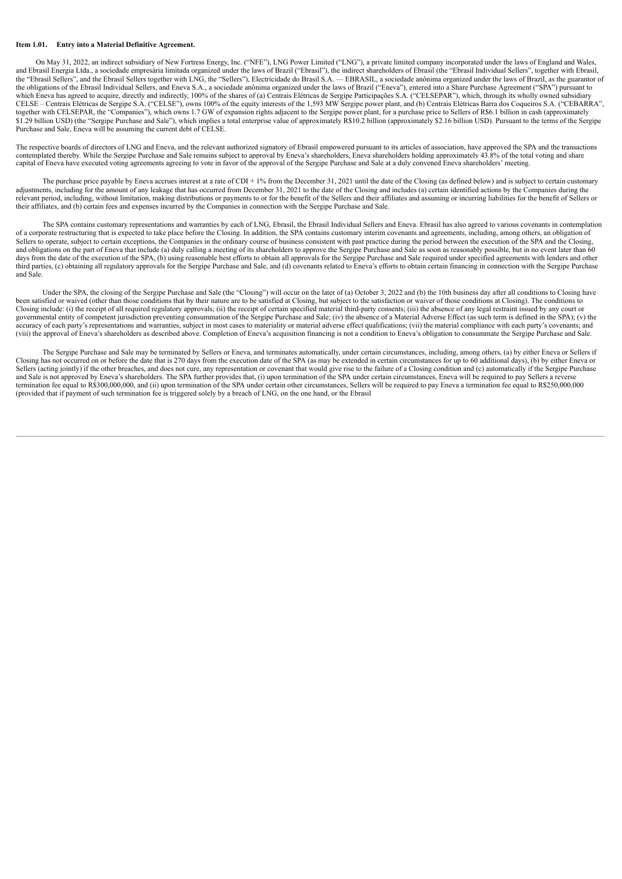### **Item 1.01. Entry into a Material Definitive Agreement.**

On May 31, 2022, an indirect subsidiary of New Fortress Energy, Inc. ("NFE"), LNG Power Limited ("LNG"), a private limited company incorporated under the laws of England and Wales, and Ebrasil Energia Ltda., a sociedade empresária limitada organized under the laws of Brazil ("Ebrasil"), the indirect shareholders of Ebrasil (the "Ebrasil Individual Sellers", together with Ebrasil, the "Ebrasil Sellers", and the Ebrasil Sellers together with LNG, the "Sellers"), Electricidade do Brasil S.A. — EBRASIL, a sociedade anônima organized under the laws of Brazil, as the guarantor of the obligations of the Ebrasil Individual Sellers, and Eneva S.A., a sociedade anônima organized under the laws of Brazil ("Eneva"), entered into a Share Purchase Agreement ("SPA") pursuant to which Eneva has agreed to acquire, directly and indirectly, 100% of the shares of (a) Centrais Elétricas de Sergipe Participações S.A. ("CELSEPAR"), which, through its wholly owned subsidiary CELSE – Centrais Elétricas de Sergipe S.A. ("CELSE"), owns 100% of the equity interests of the 1,593 MW Sergipe power plant, and (b) Centrais Elétricas Barra dos Coqueiros S.A. ("CEBARRA", together with CELSEPAR, the "Companies"), which owns 1.7 GW of expansion rights adjacent to the Sergipe power plant, for a purchase price to Sellers of R\$6.1 billion in cash (approximately<br>\$1.29 billion USD) (the "Sergipe Purchase and Sale, Eneva will be assuming the current debt of CELSE.

The respective boards of directors of LNG and Eneva, and the relevant authorized signatory of Ebrasil empowered pursuant to its articles of association, have approved the SPA and the transactions contemplated thereby. While the Sergipe Purchase and Sale remains subject to approval by Eneva's shareholders, Eneva shareholders holding approximately 43.8% of the total voting and share capital of Eneva have executed voting agreements agreeing to vote in favor of the approval of the Sergipe Purchase and Sale at a duly convened Eneva shareholders' meeting.

The purchase price payable by Eneva accrues interest at a rate of CDI + 1% from the December 31, 2021 until the date of the Closing (as defined below) and is subject to certain customary adjustments, including for the amount of any leakage that has occurred from December 31, 2021 to the date of the Closing and includes (a) certain identified actions by the Companies during the relevant period, including, without limitation, making distributions or payments to or for the benefit of the Sellers and their affiliates and assuming or incurring liabilities for the benefit of Sellers or their affiliates, and (b) certain fees and expenses incurred by the Companies in connection with the Sergipe Purchase and Sale.

The SPA contains customary representations and warranties by each of LNG. Ebrasil, the Ebrasil Individual Sellers and Eneva. Ebrasil has also agreed to various covenants in contemplation of a corporate restructuring that is expected to take place before the Closing. In addition, the SPA contains customary interim covenants and agreements, including, among others, an obligation of Sellers to operate, subjec and obligations on the part of Eneva that include (a) duly calling a meeting of its shareholders to approve the Sergipe Purchase and Sale as soon as reasonably possible, but in no event later than 60 days from the date of the execution of the SPA, (b) using reasonable best efforts to obtain all approvals for the Sergipe Purchase and Sale required under specified agreements with lenders and other third parties, (c) obtaining all regulatory approvals for the Sergipe Purchase and Sale, and (d) covenants related to Eneva's efforts to obtain certain financing in connection with the Sergipe Purchase and Sale.

Under the SPA, the closing of the Sergipe Purchase and Sale (the "Closing") will occur on the later of (a) October 3, 2022 and (b) the 10th business day after all conditions to Closing have been satisfied or waived (other than those conditions that by their nature are to be satisfied at Closing, but subject to the satisfaction or waiver of those conditions at Closing). The conditions to Closing include: (i) the receipt of all required regulatory approvals; (ii) the receipt of certain specified material third-party consents; (iii) the absence of any legal restraint issued by any court or governmental entity of competent jurisdiction preventing consummation of the Sergipe Purchase and Sale; (iv) the absence of a Material Adverse Effect (as such term is defined in the SPA); (v) the spectrum and the SPA); (v)  $\alpha$  curracy of each party's representations and warranties, subject in most cases to materiality or material adverse effect qualifications; (vi) the material compliance with each party's covenants; and accuracy of each p (viii) the approval of Eneva's shareholders as described above. Completion of Eneva's acquisition financing is not a condition to Eneva's obligation to consummate the Sergipe Purchase and Sale.

The Sergipe Purchase and Sale may be terminated by Sellers or Eneva, and terminates automatically, under certain circumstances, including, among others, (a) by either Eneva or Sellers if Closing has not occurred on or before the date that is 270 days from the execution date of the SPA (as may be extended in certain circumstances for up to 60 additional days), (b) by either Eneva or Sellers (acting jointly) if the other breaches, and does not cure, any representation or covenant that would give rise to the failure of a Closing condition and (c) automatically if the Sergipe Purchase and Sale is not approved by Eneva's shareholders. The SPA further provides that, (i) upon termination of the SPA under certain circumstances, Eneva will be required to pay Sellers a reverse<br>termination fee equal to R\$300,0 (provided that if payment of such termination fee is triggered solely by a breach of LNG, on the one hand, or the Ebrasil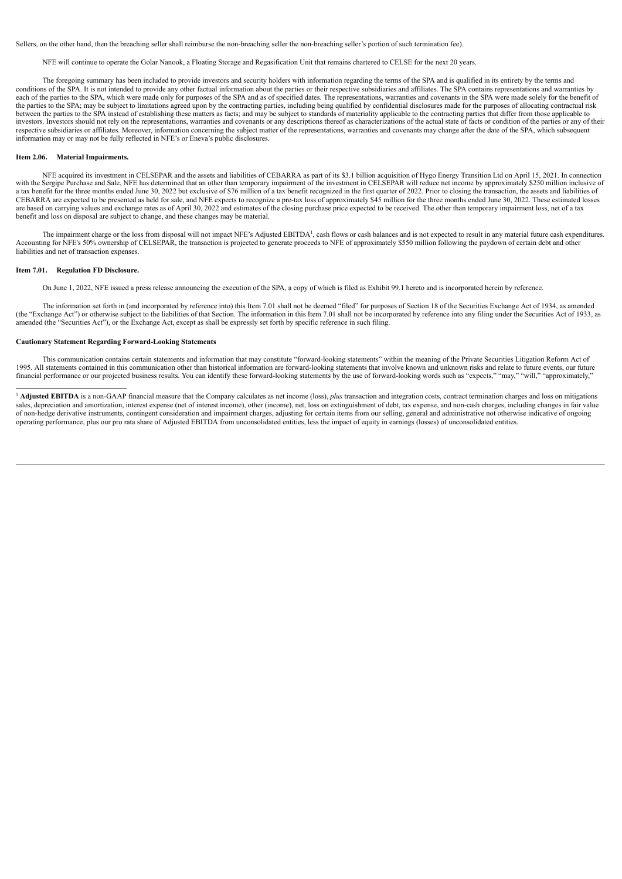Sellers, on the other hand, then the breaching seller shall reimburse the non-breaching seller the non-breaching seller's portion of such termination fee).

NFE will continue to operate the Golar Nanook, a Floating Storage and Regasification Unit that remains chartered to CELSE for the next 20 years.

The foregoing summary has been included to provide investors and security holders with information regarding the terms of the SPA and is qualified in its entirety by the terms and conditions of the SPA. It is not intended to provide any other factual information about the parties or their respective subsidiaries and affiliates. The SPA contains representations and warranties by each of the parties to the SPA, which were made only for purposes of the SPA and as of specified dates. The representations, warranties and covenants in the SPA were made solely for the benefit of expective section of the the parties to the SPA; may be subject to limitations agreed upon by the contracting parties, including being qualified by confidential disclosures made for the purposes of allocating contractual risk between the parties to the SPA instead of establishing these matters as facts; and may be subject to standards of materiality applicable to the contracting parties that differ from those applicable to investors. Investors should not rely on the representations, warranties and covenants or any descriptions thereof as characterizations of the actual state of facts or condition of the parties or any of their respective subsidiaries or affiliates. Moreover, information concerning the subject matter of the representations, warranties and covenants may change after the date of the SPA, which subsequent respective subsidiaries or information may or may not be fully reflected in NFE's or Eneva's public disclosures.

#### **Item 2.06. Material Impairments.**

NFE acquired its investment in CELSEPAR and the assets and liabilities of CEBARRA as part of its \$3.1 billion acquisition of Hygo Energy Transition Ltd on April 15, 2021. In connection with the Sergipe Purchase and Sale, NFE has determined that an other than temporary impairment of the investment in CELSEPAR will reduce net income by approximately \$250 million inclusive of atax benefit for the three mont CEBARRA are expected to be presented as held for sale, and NFE expects to recognize a pre-tax loss of approximately \$45 million for the three months ended June 30, 2022. These estimated losses are based on carrying values and exchange rates as of April 30, 2022 and estimates of the closing purchase price expected to be received. The other than temporary impairment loss, net of a tax benefit and loss on disposal are subject to change, and these changes may be material.

The impairment charge or the loss from disposal will not impact NFE's Adjusted EBITDA<sup>1</sup>, cash flows or cash balances and is not expected to result in any material future cash expenditures. Accounting for NFE's 50% ownership of CELSEPAR, the transaction is projected to generate proceeds to NFE of approximately \$550 million following the paydown of certain debt and other liabilities and net of transaction expenses.

#### **Item 7.01. Regulation FD Disclosure.**

On June 1, 2022, NFE issued a press release announcing the execution of the SPA, a copy of which is filed as Exhibit 99.1 hereto and is incorporated herein by reference.

The information set forth in (and incorporated by reference into) this Item 7.01 shall not be deemed "filed" for purposes of Section 18 of the Securities Exchange Act of 1934, as amended (the "Exchange Act") or otherwise subject to the liabilities of that Section. The information in this Item 7.01 shall not be incorporated by reference into any filing under the Securities Act of 1933, as amended (the "Securities Act"), or the Exchange Act, except as shall be expressly set forth by specific reference in such filing.

#### **Cautionary Statement Regarding Forward-Looking Statements**

This communication contains certain statements and information that may constitute "forward-looking statements" within the meaning of the Private Securities Litigation Reform Act of 1995. All statements contained in this communication other than historical information are forward-looking statements that involve known and unknown risks and relate to future events, our future financial performance or our projected business results. You can identify these forward-looking statements by the use of forward-looking words such as "expects," "may," "will," "approximately,"

<sup>1</sup> Adjusted EBITDA is a non-GAAP financial measure that the Company calculates as net income (loss), *plus* transaction and integration costs, contract termination charges and loss on mitigations sales, depreciation and amortization, interest expense (net of interest income), other (income), net, loss on extinguishment of debt, tax expense, and non-cash charges, including changes in fair value of non-hedge derivative instruments, contingent consideration and impairment charges, adjusting for certain items from our selling, general and administrative not otherwise indicative of ongoing operating performance, plus our pro rata share of Adjusted EBITDA from unconsolidated entities, less the impact of equity in earnings (losses) of unconsolidated entities.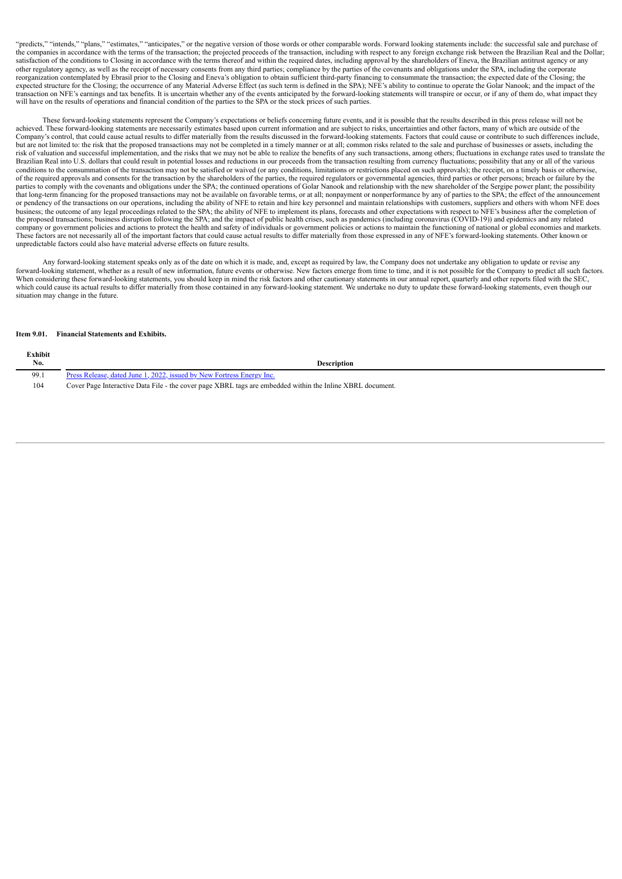"predicts," "intends," "plans," "estimates," "anticipates," or the negative version of those words or other comparable words. Forward looking statements include: the successful sale and purchase of the companies in accordance with the terms of the transaction; the projected proceeds of the transaction, including with respect to any foreign exchange risk between the Brazilian Real and the Dollar; satisfaction of the conditions to Closing in accordance with the terms thereof and within the required dates, including approval by the shareholders of Eneva, the Brazilian antitrust agency or any other regulatory agency, as well as the receipt of necessary consents from any third parties; compliance by the parties of the covenants and obligations under the SPA, including the corporate reorganization contemplated by Ebrasil prior to the Closing and Eneva's obligation to obtain sufficient third-party financing to consummate the transaction; the expected date of the Closing; the expected structure for the Closing; the occurrence of any Material Adverse Effect (as such term is defined in the SPA); NFE's ability to continue to operate the Golar Nanook; and the impact of the transaction on NFE's earnings and tax benefits. It is uncertain whether any of the events anticipated by the forward-looking statements will transpire or occur, or if any of them do, what impact they will have on the results of operations and financial condition of the parties to the SPA or the stock prices of such parties.

These forward-looking statements represent the Company's expectations or beliefs concerning future events, and it is possible that the results described in this press release will not be achieved. These forward-looking statements are necessarily estimates based upon current information and are subject to risks, uncertainties and other factors, many of which are outside of the Company's control, that could cause actual results to differ materially from the results discussed in the forward-looking statements. Factors that could cause or contribute to such differences include, but are not limited to: the risk that the proposed transactions may not be completed in a timely manner or at all; common risks related to the sale and purchase of businesses or assets, including the risk of valuation and successful implementation, and the risks that we may not be able to realize the benefits of any such transactions, among others; fluctuations in exchange rates used to translate the Brazilian Real into U.S. dollars that could result in potential losses and reductions in our proceeds from the transaction resulting from currency fluctuations; possibility that any or all of the various conditions to the consummation of the transaction may not be satisfied or waived (or any conditions, limitations or restrictions placed on such approvals); the receipt, on a timely basis or otherwise, of the required approvals and consents for the transaction by the shareholders of the parties, the required regulators or governmental agencies, third parties or other persons; breach or failure by the parties to comply with the covenants and obligations under the SPA; the continued operations of Golar Nanook and relationship with the new shareholder of the Sergipe power plant; the possibility that long-term financing for the proposed transactions may not be available on favorable terms, or at all; nonpayment or nonperformance by any of parties to the SPA; the effect of the announcement or pendency of the transactions on our operations, including the ability of NFE to retain and hire key personnel and maintain relationships with customers, suppliers and others with whom NFE does business; the outcome of any legal proceedings related to the SPA; the ability of NFE to implement its plans, forecasts and other expectations with respect to NFE's business after the completion of the proposed transactions; business disruption following the SPA; and the impact of public health crises, such as pandemics (including coronavirus (COVID-19)) and epidemics and any related company or government policies and actions to protect the health and safety of individuals or government policies or actions to maintain the functioning of national or global economies and markets. These factors are not necessarily all of the important factors that could cause actual results to differ materially from those expressed in any of NFE's forward-looking statements. Other known or unpredictable factors could also have material adverse effects on future results.

Any forward-looking statement speaks only as of the date on which it is made, and, except as required by law, the Company does not undertake any obligation to update or revise any forward-looking statement, whether as a result of new information, future events or otherwise. New factors emerge from time to time, and it is not possible for the Company to predict all such factors. When considering these forward-looking statements, you should keep in mind the risk factors and other cautionary statements in our annual report, quarterly and other reports filed with the SEC, which could cause its actual results to differ materially from those contained in any forward-looking statement. We undertake no duty to update these forward-looking statements, even though our situation may change in the future.

#### **Item 9.01. Financial Statements and Exhibits.**

**Exhibit**

| елшин<br>No. | <b>Description</b>                                                                                        |
|--------------|-----------------------------------------------------------------------------------------------------------|
| 99.1         | Press Release, dated June 1, 2022, issued by New Fortress Energy Inc.                                     |
| 104          | Cover Page Interactive Data File - the cover page XBRL tags are embedded within the Inline XBRL document. |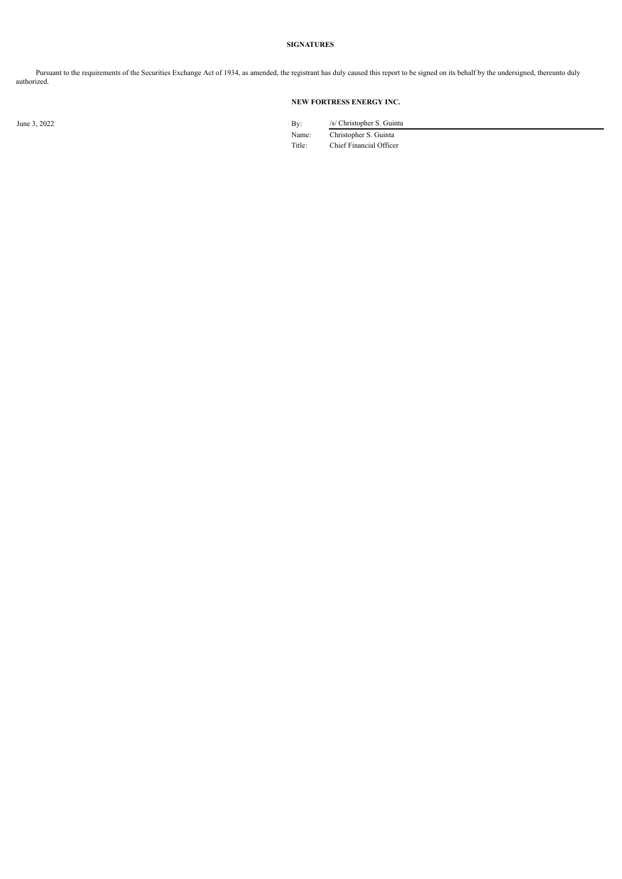### **SIGNATURES**

Pursuant to the requirements of the Securities Exchange Act of 1934, as amended, the registrant has duly caused this report to be signed on its behalf by the undersigned, thereunto duly authorized.

## **NEW FORTRESS ENERGY INC.**

June 3, 2022 *Islam 2022* **By:** *Syc Christopher S. Guinta* Name: Christopher S. Guinta

Title: Chief Financial Officer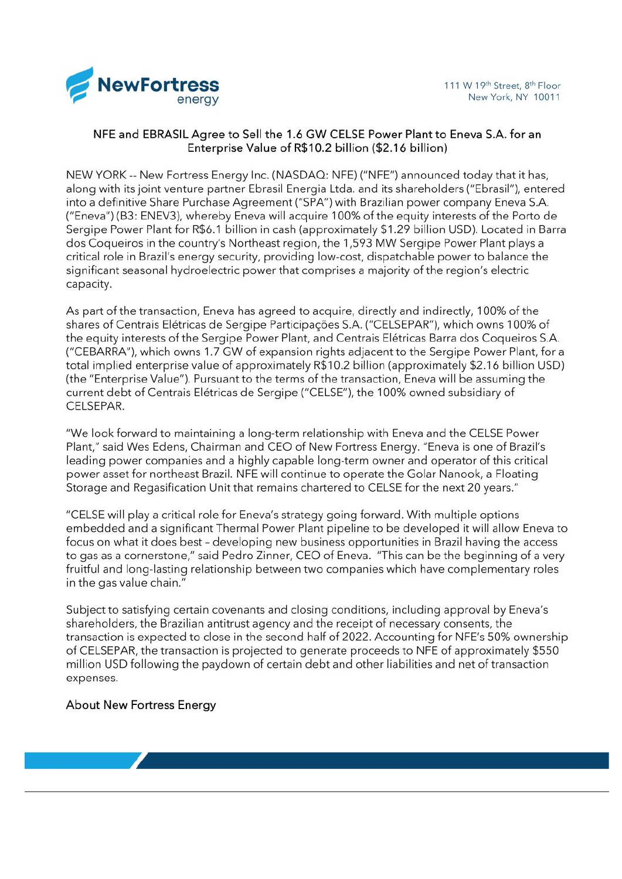<span id="page-5-0"></span>

## NFE and EBRASIL Agree to Sell the 1.6 GW CELSE Power Plant to Eneva S.A. for an Enterprise Value of R\$10.2 billion (\$2.16 billion)

NEW YORK -- New Fortress Energy Inc. (NASDAQ: NFE) ("NFE") announced today that it has, along with its joint venture partner Ebrasil Energia Ltda, and its shareholders ("Ebrasil"), entered into a definitive Share Purchase Agreement ("SPA") with Brazilian power company Eneva S.A. ("Eneva") (B3: ENEV3), whereby Eneva will acquire 100% of the equity interests of the Porto de Sergipe Power Plant for R\$6.1 billion in cash (approximately \$1.29 billion USD). Located in Barra dos Coqueiros in the country's Northeast region, the 1,593 MW Sergipe Power Plant plays a critical role in Brazil's energy security, providing low-cost, dispatchable power to balance the significant seasonal hydroelectric power that comprises a majority of the region's electric capacity.

As part of the transaction, Eneva has agreed to acquire, directly and indirectly, 100% of the shares of Centrais Elétricas de Sergipe Participações S.A. ("CELSEPAR"), which owns 100% of the equity interests of the Sergipe Power Plant, and Centrais Elétricas Barra dos Coqueiros S.A. ("CEBARRA"), which owns 1.7 GW of expansion rights adjacent to the Sergipe Power Plant, for a total implied enterprise value of approximately R\$10.2 billion (approximately \$2.16 billion USD) (the "Enterprise Value"). Pursuant to the terms of the transaction, Eneva will be assuming the current debt of Centrais Elétricas de Sergipe ("CELSE"), the 100% owned subsidiary of CELSEPAR.

"We look forward to maintaining a long-term relationship with Eneva and the CELSE Power Plant," said Wes Edens, Chairman and CEO of New Fortress Energy. "Eneva is one of Brazil's leading power companies and a highly capable long-term owner and operator of this critical power asset for northeast Brazil. NFE will continue to operate the Golar Nanook, a Floating Storage and Regasification Unit that remains chartered to CELSE for the next 20 years."

"CELSE will play a critical role for Eneva's strategy going forward. With multiple options embedded and a significant Thermal Power Plant pipeline to be developed it will allow Eneva to focus on what it does best - developing new business opportunities in Brazil having the access to gas as a cornerstone," said Pedro Zinner, CEO of Eneva. "This can be the beginning of a very fruitful and long-lasting relationship between two companies which have complementary roles in the gas value chain."

Subject to satisfying certain covenants and closing conditions, including approval by Eneva's shareholders, the Brazilian antitrust agency and the receipt of necessary consents, the transaction is expected to close in the second half of 2022. Accounting for NFE's 50% ownership of CELSEPAR, the transaction is projected to generate proceeds to NFE of approximately \$550 million USD following the paydown of certain debt and other liabilities and net of transaction expenses.

## **About New Fortress Energy**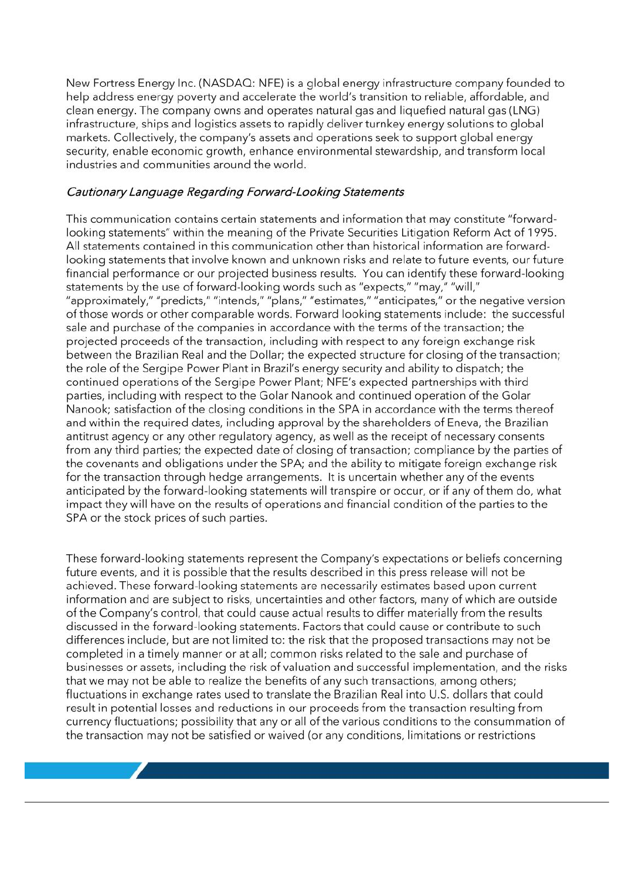New Fortress Energy Inc. (NASDAQ: NFE) is a global energy infrastructure company founded to help address energy poverty and accelerate the world's transition to reliable, affordable, and clean energy. The company owns and operates natural gas and liquefied natural gas (LNG) infrastructure, ships and logistics assets to rapidly deliver turnkey energy solutions to global markets. Collectively, the company's assets and operations seek to support global energy security, enable economic growth, enhance environmental stewardship, and transform local industries and communities around the world.

## Cautionary Language Regarding Forward-Looking Statements

This communication contains certain statements and information that may constitute "forwardlooking statements" within the meaning of the Private Securities Litigation Reform Act of 1995. All statements contained in this communication other than historical information are forwardlooking statements that involve known and unknown risks and relate to future events, our future financial performance or our projected business results. You can identify these forward-looking statements by the use of forward-looking words such as "expects," "may," "will," "approximately," "predicts," "intends," "plans," "estimates," "anticipates," or the negative version of those words or other comparable words. Forward looking statements include: the successful sale and purchase of the companies in accordance with the terms of the transaction; the projected proceeds of the transaction, including with respect to any foreign exchange risk between the Brazilian Real and the Dollar; the expected structure for closing of the transaction; the role of the Sergipe Power Plant in Brazil's energy security and ability to dispatch; the continued operations of the Sergipe Power Plant; NFE's expected partnerships with third parties, including with respect to the Golar Nanook and continued operation of the Golar Nanook; satisfaction of the closing conditions in the SPA in accordance with the terms thereof and within the required dates, including approval by the shareholders of Eneva, the Brazilian antitrust agency or any other regulatory agency, as well as the receipt of necessary consents from any third parties; the expected date of closing of transaction; compliance by the parties of the covenants and obligations under the SPA; and the ability to mitigate foreign exchange risk for the transaction through hedge arrangements. It is uncertain whether any of the events anticipated by the forward-looking statements will transpire or occur, or if any of them do, what impact they will have on the results of operations and financial condition of the parties to the SPA or the stock prices of such parties.

These forward-looking statements represent the Company's expectations or beliefs concerning future events, and it is possible that the results described in this press release will not be achieved. These forward-looking statements are necessarily estimates based upon current information and are subject to risks, uncertainties and other factors, many of which are outside of the Company's control, that could cause actual results to differ materially from the results discussed in the forward-looking statements. Factors that could cause or contribute to such differences include, but are not limited to: the risk that the proposed transactions may not be completed in a timely manner or at all; common risks related to the sale and purchase of businesses or assets, including the risk of valuation and successful implementation, and the risks that we may not be able to realize the benefits of any such transactions, among others; fluctuations in exchange rates used to translate the Brazilian Real into U.S. dollars that could result in potential losses and reductions in our proceeds from the transaction resulting from currency fluctuations; possibility that any or all of the various conditions to the consummation of the transaction may not be satisfied or waived (or any conditions, limitations or restrictions